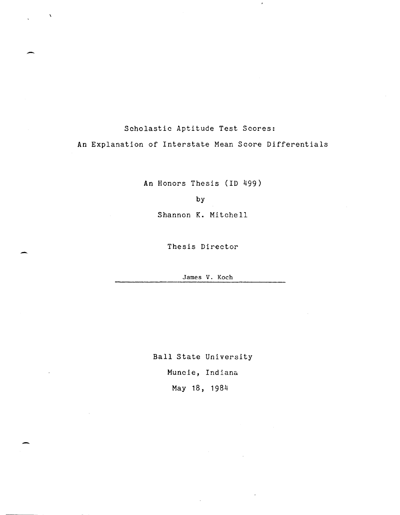## Scholastic Aptitude Test Scores:

-

-

An Explanation of Interstate Mean Score Differentials

 $\lambda$ 

An Honors Thesis (ID 499)

by

Shannon K. Mitchell

Thesis Director

James V. Koch

Ball State University Muncie, Indiana. May 18, 1984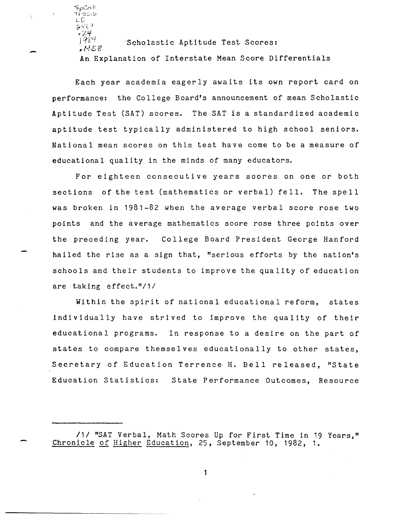$\partial$ 'Y c-\* 47<br>| 984

'SpCofi  $\Gamma$  is given  $\cup$  $\circ$ u $\circ$ n  $\cdot$ 

-

 $MSE$ Scholastic Aptitude Test Scores:

**An** Explanation of Interstate Mean Score Differentials

Each year academia eagerly awaits its own report card on performance: the College Board's announcement of mean Scholastic Aptitude Test (SAT) scores. The SAT is a standardized academic aptitude test typically administered to high school seniors. National mean scores on this test have come to be a measure of educational quality in the minds of many educators.

For eighteen consecutive years scores on one or both sections of the test (mathematics or verbal) fell. The spell was broken in 1981-82 when the average verbal score rose two points and the average mathematics score rose three points over the preceding year. College Board President George Hanford hailed the rise as a sign that, "serious efforts by the nation's schools and their students to improve the quality of education are taking effect."/1/

Within the spirit of national educational reform, states individually have strived to improve the quality of their educational programs. In response to a desire on the part of states to compare themselves educationally to other states, Secretary of Education Terrence H. Bell released, "State Education Statistics: State Performance Outcomes, Resource

<sup>/1/ &</sup>quot;SAT Verbal, Math Scores Up for First Time in 19 Years," Chronicle of Higher Education, 25, September 10, 1982, 1.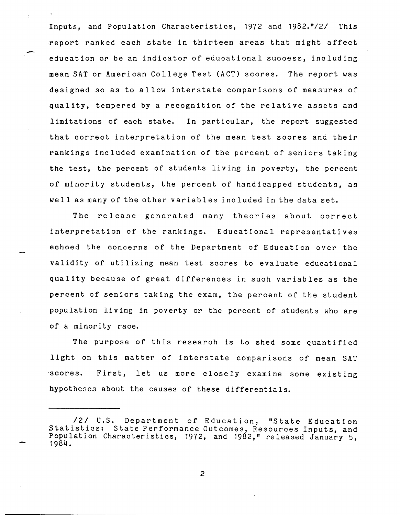Inputs, and Population Characteristics, 1972 and *1982."121* This report ranked each state in thirteen areas that might affect education or be an indicator of educational success, including mean SAT or American College Test (ACT) scores. The report was designed so as to allow interstate comparisons of measures of quality, tempered by a recognition of the relative assets and limitations of each state. In particular, the report suggested that correct interpretation'of the mean test scores and their rankings included examination of the percent of seniors taking the test, the percent of students living in poverty, the percent of minority students, the percent of handicapped students, as well as many of the other variables included in the data set.

-

 $\ddot{\phantom{0}}$ 

The release generated many theories about correct interpretation of the rankings. Educational representatives echoed the concerns of the Department of Education over the validity of utilizing mean test scores to evaluate educational quality because of great differences in such variables as the percent of seniors taking the exam, the percent of the student population living in poverty or the percent of students who are of a minority race.

The purpose of this research is to shed some quantified light on this matter of interstate comparisons of mean SAT ·scores. First, let us more closely examine some existing hypotheses about the causes of these differentials.

*<sup>121</sup>* U.S. Department of Education, "State Education Statistics: State Performance Outcomes, Resources Inputs, and Population Characteristics, 1972, and 1982," released January 5, 1984.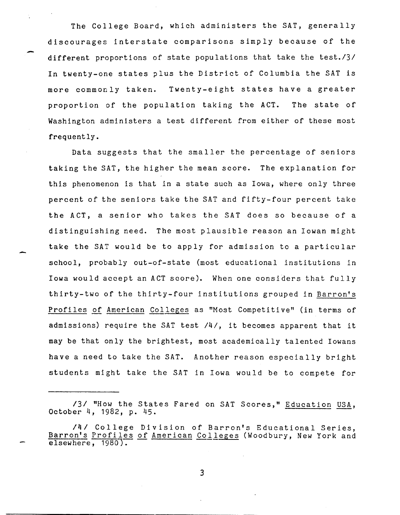The College Board, which administers the SAT, generally discourages interstate comparisons simply because of the different proportions of state populations that take the *test./31*  In twenty-one states plus the District of Columbia the SAT is more commonly taken. Twenty-eight states have a greater proportion of the population taking the ACT. The state of Washington administers a test different from either of these most frequently.

-

Data suggests that the smaller the percentage of seniors taking the SAT, the higher the mean score. The explanation for this phenomenon is that in a state such as Iowa, where only three percent of the seniors take the SAT and fifty-four percent take the ACT, a senior who takes the SAT does so because of a distinguishing need. The most plausible reason an Iowan might take the SAT would be to apply for admission to a particular school, probably out-of-state (most educational institutions in Iowa would accept an ACT score). When one considers that fully thirty-two of the thirty-four institutions grouped in Barron's Profiles of American Colleges as "Most Competitive" (in terms of admissions) require the SAT test *141,* it becomes apparent that it may be that only the brightest, most academically talented Iowans have a need to take the SAT. Another reason especially bright students might take the SAT in Iowa would be to compete for

131 "How the States Fared on SAT Scores," <u>Education</u> USA,<br>October 4, 1982, p. 45.

*<sup>141</sup>* College Division of Barron's Educational Series, Barron's Profiles of American Colleges (Woodbury, New York and elsewhere, 1980).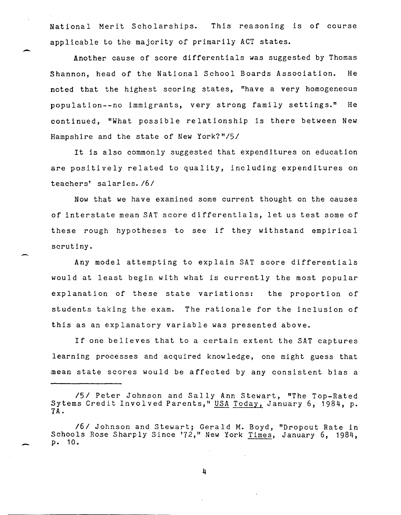National Merit Scholarships. This reasoning is of course applicable to the majority of primarily ACT states.

-

-

Another cause of score differentials was suggested by Thomas Shannon, head of the National School Boards Association. He noted that the highest scoring states, "have a very homogeneous population--no immigrants, very strong family settings." He continued, "What possible relationship is there between New Hampshire and the state of New *York?"/51* 

It is also commonly suggested that expenditures on education are positively related to quality, including expenditures on teachers' salaries. /6/

Now that we have examined some current thought on the causes of interstate mean SAT score differentials, let us test some of these rough hypotheses to see if they withstand empirical scrutiny.

Any model attempting to explain SAT score differentials would at least begin with what is currently the most popular explanation of these state variations: the proportion of students taking the exam. The rationale for the inclusion of this as an explanatory variable was presented above.

If one believes that to a certain extent the SAT captures learning processes and acquired know ledge, one might guess that ·mean state scores would be affected by any consistent bias a

*lSI* Peter Johnson and Sally Ann Stewart, "The Top-Rated Sytems Credit Involved Parents," USA Today, January 6, 1984, p.<br>7A.

*<sup>161</sup>* Johnson and Stewart; Gerald M. Boyd, "Dropout Rate in Schools Rose Sharply Since '72," New York Times, January 6, 1984, p. 10.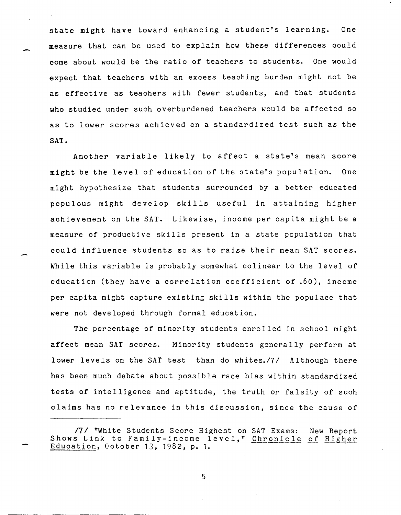state might have toward enhancing a student's learning. One measure that can be used to explain how these differences could come about would be the ratio of teachers to students. One would expect that teachers with an excess teaching burden might not be as effective as teachers with fewer students, and that students who studied under such overburdened teachers would be affected so as to lower scores achieved on a standardized test such as the SAT.

Another variable likely to affect a state's mean score might be the level of education of the state's population. One might hypothesize that students surrounded by a better educated populous might develop skills useful in attaining higher achievement on the SAT. Likewise, income per capita might be a measure of productive skills present in a state population that could influence students so as to raise their mean SAT scores. While this variable is probably somewhat colinear to the level of education (they have a correlation coefficient of .60), income per capita might capture existing skills within the populace that were not developed through formal education.

The percentage of minority students enrolled in school might affect mean SAT scores. Minority students generally perform at lower levels on the SAT test than do *whites./71* Although there has been much debate about possible race bias within standardized tests of intelligence and aptitude, the truth or falsity of such claims has no relevance in this discussion, since the cause of

*<sup>171</sup>* "White Students Score Highest on SAT Exams: New Report Shows Link to Family-income level," Chronicle of Higher Education, October 13, 1982, p. 1.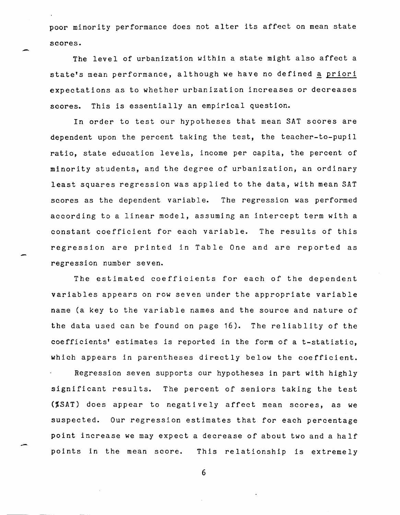poor minority performance does not alter its affect on mean state scores.

The level of urbanization within a state might also affect a state's mean performance, although we have no defined a priori expectations as to whether urbanization increases or decreases scores. This is essentially an empirical question.

In order to test our hypotheses that mean SAT scores are dependent upon the percent taking the test, the teacher-to-pupil ratio, state education levels, income per capita, the percent of minority students, and the degree of urbanization, an ordinary least squares regression was applied to the data, with mean SAT scores as the dependent variable. The regression was performed according to a linear model, assuming an intercept term with a constant coefficient for each variable. The results of this regression are printed in Table One and are reported as regression number seven.

The estimated coefficients for each of the dependent variables appears on row seven under the appropriate variable name (a key to the variable names and the source and nature of the data used can be found on page 16). The reliablity of the coefficients' estimates is reported in the form of a t-statistic, which appears in parentheses directly below the coefficient. Regression seven supports our hypotheses in part with highly significant results. The percent of seniors taking the test (%SAT) does appear to negatively affect mean scores, as we suspected. Our regression estimates that for each percentage point increase we may expect a decrease of about two and a half points in the mean score. This relationship is extremely

6

-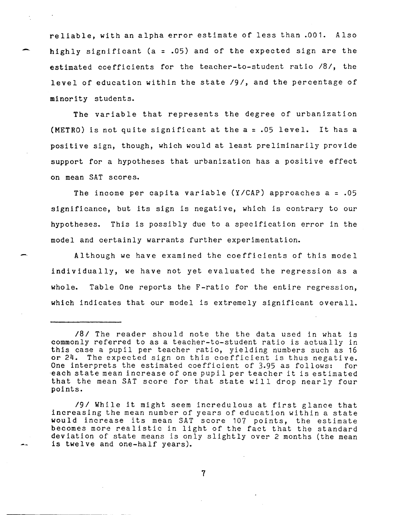reliable, with an alpha error estimate of less than .001. Also highly significant (a = .05) and of the expected sign are the estimated coefficients for the teacher-to-student ratio *181,* the level of education within the state */9/,* and the percentage of minority students.

The variable that represents the degree of urbanization (METRO) is not quite significant at the a = .05 level. It has a positive sign, though, which would at least preliminarily provide support for a hypotheses that urbanization has a positive effect on mean SAT scores.

The income per capita variable  $(Y/CAP)$  approaches a = .05 significance, but its sign is negative, which is contrary to our hypotheses. This is possibly due to a specification error in the model and certainly warrants further experimentation.

Although we have examined the coefficients of this model individually, we have not yet evaluated the regression as a whole. Table One reports the F-ratio for the entire regression, which indicates that our model is extremely significant overall.

*<sup>181</sup>* The reader should note the the data used in what is commonly referred to as a teacher-to-student ratio is actually in this case a pupil per teacher ratio, yielding numbers such as 16 or 24. The expected sign on this coefficient is thus negative. One interprets the estimated coefficient of 3.95 as follows: for -each state mean increase of one pupil per teacher it is estimated that the mean SAT score for that state will drop nearly four points.

*<sup>191</sup>*While it might seem incredulous at first glance that increasing the mean number of years of education within a state would increase its mean SAT score 107 points, the estimate would increase its mean SAI score for points, the estimate<br>becomes more realistic in light of the fact that the standard deviation of state means is only slightly over 2 months (the mean is twelve and one-half years).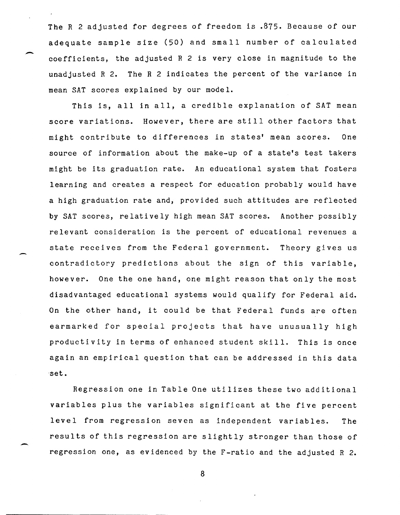The R 2 adjusted for degrees of freedom is .875. Because of our adequate sample size (50) and small number of calculated coefficients, the adjusted R 2 is very close in magnitude to the unadjusted R 2. The R 2 indicates the percent of the variance in mean SAT scores explained by our model.

This is, all in all, a credible explanation of SAT mean score variations. However, there are still other factors that might contribute to differences in states' mean scores. One source of information about the make-up of a state's test takers might be its graduation rate. An educational system that fosters learning and creates a respect for education probably would have a high graduation rate and, provided such attitudes are reflected by SAT scores, relatively high mean SAT scores. Another possibly relevant consideration is the percent of educational revenues a state receives from the Federal government. Theory gives us contradictory predictions about the sign of this variable, however. One the one hand, one might reason that only the most disadvantaged educational systems would qualify for Federal aid. On the other hand, it could be that Federal funds are often earmarked for special projects that have unusually high productivity in terms of enhanced student skill. This is once again an empirical question that can be addressed in this data ·set.

Regression one in Table One utilizes these two additional variables plus the variables significant at the five percent level from regression seven as independent variables. The results of this regression are slightly stronger than those of regression one, as evidenced by the F-ratio and the adjusted R 2.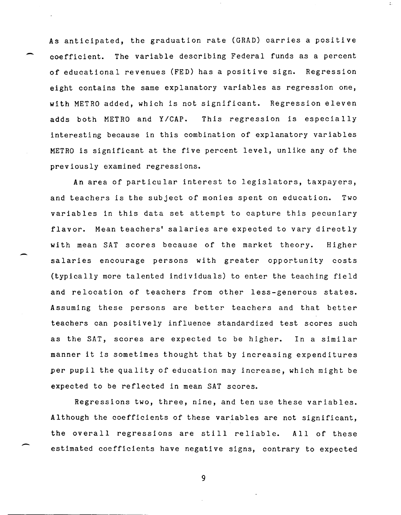As anticipated, the graduation rate (GRAD) carries a positive coefficient. The variable describing Federal funds as a percent of educational revenues (FED) has a positive sign. Regression eight contains the same explanatory variables as regression one, with METRO added, which is not significant. Regression eleven adds both METRO and Y/CAP. This regression is especially interesting because in this combination of explanatory variables METRO is significant at the five percent level, unlike any of the previously examined regressions.

-

 $\overline{\phantom{0}}$ 

An area of particular interest to legislators, taxpayers, and teachers is the subject of monies spent on education. Two variables in this data set attempt to capture this pecuniary flavor. Mean teachers' salaries are expected to vary directly with mean SAT scores because of the market theory. Higher salaries encourage persons with greater opportunity costs (typically more talented individuals) to enter the teaching field and relocation of teachers from other less-generous states. Assuming these persons are better teachers and that better teachers can positively influence standardized test scores such as the SAT, scores are expected to be higher. In a similar manner it is sometimes thought that by increasing expenditures per pupil the quality of education may increase, which might be expected to be reflected in mean SAT scores.

Regressions two, three, nine, and ten use these variables. Although the coefficients of these variables are not significant, the overall regressions are still reliable. All of these estimated coefficients have negative signs, contrary to expected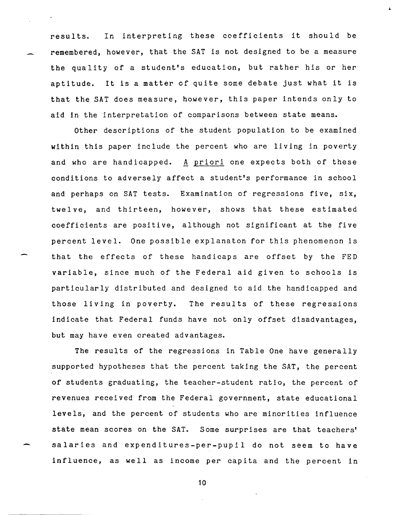results. In interpreting these coefficients it should be remembered, however, that the SAT is not designed to be a measure the quality of a student's education, but rather his or her aptitude. It is a matter of quite some debate just what it is that the SAT does measure, however, this paper intends only to aid in the interpretation of comparisons between state means.

Other descriptions of the student population to be examined within this paper include the percent who are living in poverty and who are handicapped. A priori one expects both of these conditions to adversely affect a student's performance in school and perhaps on SAT tests. Examination of regressions five, six, twelve, and thirteen, however, shows that these estimated coefficients are positive, although not significant at the five percent level. One possible explanaton for this phenomenon is that the effects of these handicaps are offset by the FED variable, since much of the Federal aid given to schools is particularly distributed and designed to aid the handicapped and those living in poverty. The results of these regressions indicate that Federal funds have not only offset disadvantages, but may have even created advantages.

The results of the regressions in Table One have generally supported hypotheses that the percent taking the SAT, the percent of students graduating, the teacher-student ratio, the percent of revenues received from the Federal government, state educational levels, and the percent of students who are minorities influence state mean scores on the SAT. Some surprises are that teachers' salaries and expenditures-per-pupil do not seem to have influence, as well as income per capita and the percent in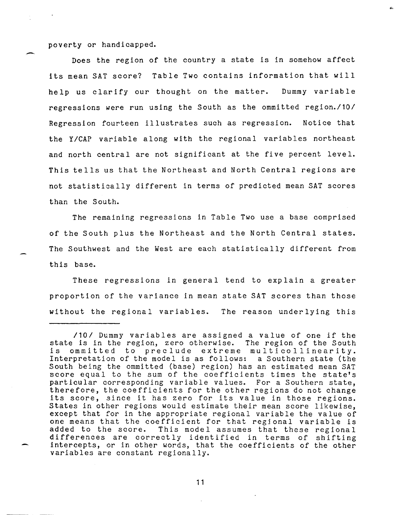poverty or handicapped.

Does the region of the country a state is in somehow affect its mean SAT score? Table Two contains information that will help us clarify our thought on the matter. Dummy variable regressions were run using the South as the ommitted *region./101*  Regression fourteen illustrates such as regression. Notice that the Y/CAP variable along with the regional variables northeast and north central are not significant at the five percent level. This tells us that the Northeast and North Central regions are not statistically different in terms of predicted mean SAT scores than the South.

The remaining regressions in Table Two use a base comprised of the South plus the Northeast and the North Central states. The Southwest and the West are each statistically different from th is base.

These regressions in general tend to explain a greater proportion of the variance in mean state SAT scores than those without the regional variables. The reason underlying this

*<sup>1101</sup>*Dummy variables are assigned a value of one if the state is in the region, zero otherwise. The region of the South<br>is ommitted to preclude extreme multicollinearity. ommitted to preclude extreme multicollinearity. Interpretation of the model is as follows: a Southern state (the South being the ommitted (base) region) has an estimated mean SAT score equal to the sum of the coefficients times the state's particular corresponding variable values. For a Southern state, therefore, the coefficients for the other regions do not change its score, since it has zero for its value in those regions. States in other regions would estimate their mean score likewise, except that for in the appropriate regional variable the value of one means that the coefficient for that regional variable is<br>added to the score. This model assumes that these regional This model assumes that these regional differences are correctly identified in terms of shifting intercepts, or in other words, that the coefficients of the other variables are constant regionally.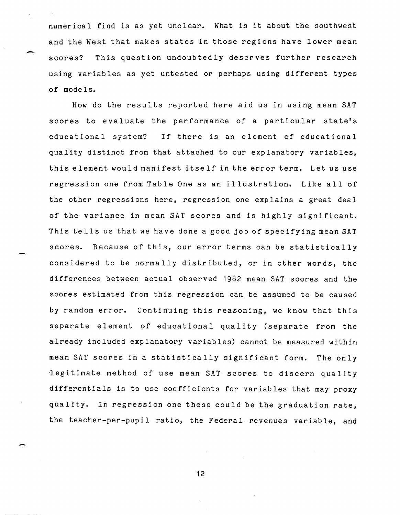numerical find is as yet unclear. What is it about the southwest and the West that makes states in those regions have lower mean scores? This question undoubtedly deserves further research using variables as yet untested or perhaps using different types of mode Is.

.-

How do the results reported here aid us in using mean SAT scores to evaluate the performance of a particular state's educational system? If there is an element of educational quality distinct from that attached to our explanatory variables, this element would manifest itself in the error term. Let us use regression one from Table One as an illustration. Like all of the other regressions here, regression one explains a great deal of the variance in mean SAT scores and is highly significant. This tells us that we have done a good job of specifying mean SAT scores. Because of this, our error terms can be statistically considered to be normally distributed, or in other words, the differences between actual observed 1982 mean SAT scores and the scores estimated from this regression can be assumed to be caused by random error. Continuing this reasoning, we know that this separate element of educational quality (separate from the already included explanatory variables) cannot be measured within mean SAT scores in a statistically significant form. The only degitimate method of use mean SAT scores to discern quality differentials is to use coefficients for variables that may proxy quality. In regression one these could be the graduation rate, the teacher-per-pupil ratio, the Federal revenues variable, and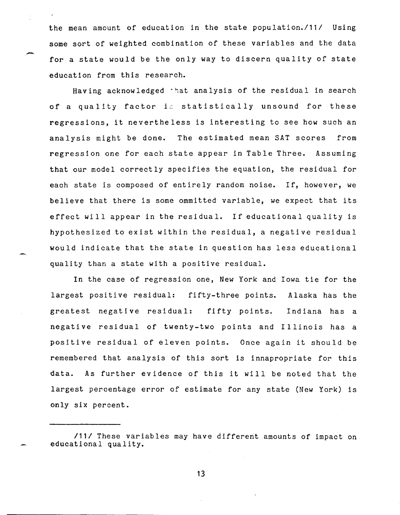the mean amount of education in the state population./11/ Using some sort of weighted combination of these variables and the data for a state would be the only way to discern quality of state education from this research.

-

Having acknowledged that analysis of the residual in search of a quality factor is statistically unsound for these regressions, it nevertheless is interesting to see how such an analysis might be done. The estimated mean SAT scores from regression one for each state appear in Table Three. Assuming that our model correctly specifies the equation, the residual for each state is composed of entirely random noise. If, however, we believe that there is some ommitted variable, we expect that its effect will appear in the residual. If educational quality is hypothesized to exist within the residual, a negative residual would indicate that the state in question has less educational quality than a state with a positive residual.

In the case of regression one, New York and Iowa tie for the largest positive residual: fifty-three points. Alaska has the greatest negative residual: fifty points. Indiana has a negative residual of twenty-two points and Illinois has a positive residual of eleven points. Once again it should be remembered that analysis of this sort is innapropriate for this data. As further evidence of this it will be noted that the largest percentage error of estimate for any state (New York) is only six percent.

<sup>/11/</sup> These variables may have different amounts of impact on educational quality.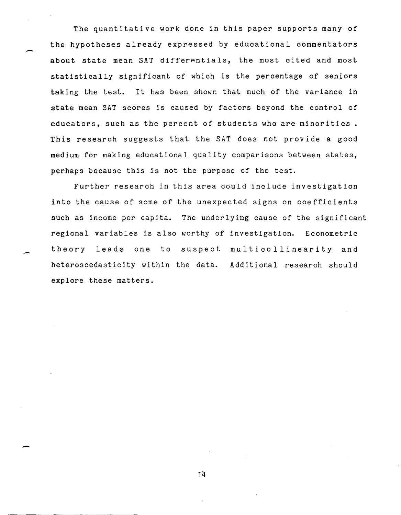The quantitative work done in this paper supports many of the hypotheses already expressed by educational commentators about state mean SAT differentials, the most cited and most statistically significant of which is the percentage of seniors taking the test. It has been shown that much of the variance in state mean SAT scores is caused by factors beyond the control of educators, such as the percent of students who are minorities. This research suggests that the SAT does not provide a good medium for making educational quality comparisons between states, perhaps because this is not the purpose of the test.

-

-

Further research in this area could include investigation into the cause of some of the unexpected signs on coefficients such as income per capita. The underlying cause of the significant regional variables is also worthy of investigation. Econometric theory leads one to suspect multicollinearity and heteroscedasticity within the data. Additional research should explore these matters.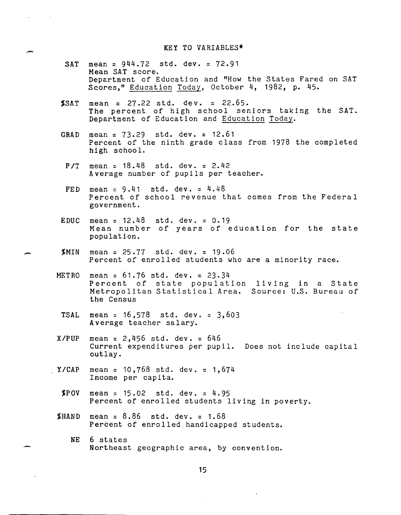## KEY TO VARIABLES\*

- SAT mean = 944.72 std. dey. = 72.91 Mean SAT score. Department of Education and "How the States Fared on SAT Scores," Education Today, October 4, 1982, p. 45.
- $SAT$  mean = 27.22 std. dev. = 22.65. The percent of high school seniors taking the SAT. Department of Education and Education Today.
- GRAD mean = 73.29 std. dey. = 12.61 Percent of the ninth grade class from 1978 the completed high school.
- *PIT* mean = 18.48 std. dey. = 2.42 Average number of pupils per teacher.
- FED mean  $= 9.41$  std. dev.  $= 4.48$ Percent of school revenue that comes from the Federal government.
- EDUC mean =  $12.48$ mean - 12:40 Stat dev. - 0:19<br>Mean number of years of education for the state population. std. dev.  $= 0.19$
- $MIN$  mean = 25.77 std. dev. = 19.06 Percent of enrolled students who are a minority race.
- METRO mean = 61.76 std. dey. = 23.34 Percent of state population living in a State Metropolitan Statistical Area. Source: U.S. Bureau of the Census
- TSAL mean =  $16,578$  std. dev. =  $3,603$ Average teacher salary.
- *XIPUP* mean = 2,456 std. dey. = 646 Current expenditures per pupil. Does not include capital outlay.
- YICAP mean = 10,768 std. dey. = 1,674 Income per capita.

-

- $$POV$  mean = 15.02 std. dev. = 4.95 Percent of enrolled students living in poverty.
- **\$HAND** mean =  $8.86$  std. dev. =  $1.68$ Percent of enrolled handicapped students.
	- NE 6 states Northeast geographic area, by convention.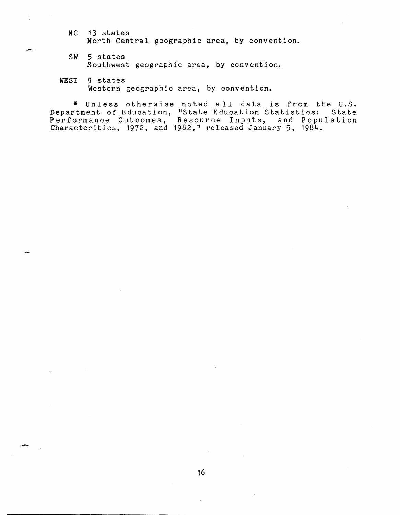NC 13 states<br>North Cent<br>SW 5 states North Central geographic area, by convention.

- 5 states Southwest geographic area, by convention.
- WEST 9 states Western geographic area, by convention.

\* Unless otherwise noted all data is from the U.S. Department of Education, "State Education Statistics: State Performance Outcomes, Resource Inputs, and Population Characteritics, 1972, and 1982," released January 5, 1984.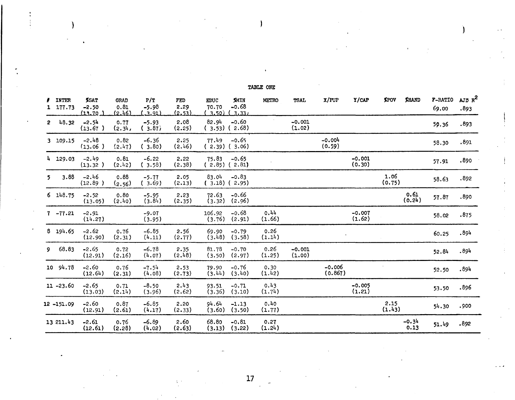| ,              | <b>INTER</b><br>1 177.73 | %SAT<br>$-2.50$<br>111.70. | <b>GRAD</b><br>0.81<br>(2.46) | P/T<br>$-5.98$<br>للقت | FED<br>2.29<br><u>(2.53)</u> | <b>EDUC</b><br>70.70<br><u>( 3.50)</u> | <b>XMIN</b><br>$-0.68$<br>3.331 | <b>METRO</b>   | <b>TSAL</b>        | X/PUP               | Y/CAP              | <b>XPOV</b>    | <b>XHAND</b>    | F-RATIO<br>69.00 | AJD R <sup>2</sup><br>.893 |
|----------------|--------------------------|----------------------------|-------------------------------|------------------------|------------------------------|----------------------------------------|---------------------------------|----------------|--------------------|---------------------|--------------------|----------------|-----------------|------------------|----------------------------|
|                | $2\frac{18.32}{ }$       | $-2.54$<br>(13.67)         | 0.77<br>(2.34)                | $-5.93$<br>(3.87)      | 2.08<br>(2.25)               | 82.94                                  | $-0.60$<br>$(3.53)$ $(2.68)$    |                | $-0.001$<br>(1.02) |                     |                    |                |                 | 59.36            | .893                       |
|                | 3 109.15                 | $-2.48$<br>(13.06)         | 0.82<br>(2.47)                | $-6.36$<br>(3.80)      | 2.25<br>(2.46)               | 77.49                                  | $-0.65$<br>$(2.39)$ (3.06)      |                |                    | $-0.004$<br>(0.59)  |                    |                |                 | 58.30            | .891                       |
|                | 4 129.03                 | $-2.49$<br>(13.32)         | 0.81<br>(2.42)                | $-6.22$<br>(3.58)      | 2.22<br>(2.38)               | 75.83                                  | $-0.65$<br>$(2.85)$ $(2.81)$    |                |                    |                     | $-0.001$<br>(0.30) |                |                 | 57.91            | .890                       |
| 5 <sup>7</sup> | 3.88                     | $-2.46$<br>(12.89)         | 0.88<br>(2.56)                | $-5.77$<br>(3.69)      | 2.05<br>(2.13)               | 83.04<br>(3.18) (2.95)                 | $-0.83$                         |                |                    |                     |                    | 1.06<br>(0.75) |                 | 58.63            | .892                       |
|                | 6148.75                  | $-2.52$<br>(13.05)         | 0.80<br>(2.40)                | $-5.95$<br>(3.84)      | 2.23<br>(2.35)               | 72.63                                  | $-0.66$<br>$(3.32)$ $(2.96)$    |                |                    |                     |                    |                | 0.61<br>(0.24)  | 57.87            | .890                       |
|                | $7 - 77.21$              | $-2.91$<br>(14.27)         |                               | $-9.07$<br>(3.95)      |                              | 106.92                                 | $-0.68$<br>$(3.76)$ $(2.91)$    | 0.44<br>(1.66) |                    |                     | $-0.007$<br>(1.62) |                |                 | 58.02            | .875                       |
|                | 8 194.65                 | $-2.62$<br>(12.90)         | 0.76<br>(2.31)                | $-6.85$<br>(4.11)      | 2.56<br>(2.77)               | 69.90<br>(3.48)                        | $-0.79$<br>(3.58)               | 0.26<br>(1.14) |                    |                     |                    |                |                 | 60.25            | .894                       |
|                | 9,68.83                  | $-2.65$<br>(12.91)         | 0.72<br>(2.16)                | $-6.78$<br>(4.07)      | 2.35<br>(2.48)               | 81.78<br>(3.50)                        | $-0.70$<br>(2.97)               | 0.26<br>(1.25) | $-0.001$<br>(1.00) |                     |                    |                |                 | 52.84            | .894                       |
|                | $10\,94.78$              | $-2.60$<br>(12.64)         | 0.76<br>(2.31)                | $-7.54$<br>(4.08)      | 2.53<br>(2.73)               | 79.90<br>(3.44)                        | $-0.76$<br>(3.40)               | 0.30<br>(1.42) |                    | $-0.006$<br>(0.867) |                    |                |                 | 52.50            | .894                       |
|                | 11 -23.60                | $-2.65$<br>(13.03)         | 0.71<br>(2.14)                | $-8.50$<br>(3.96)      | 2.43<br>(2.62)               | 93.51<br>(3.36)                        | $-0.71$<br>(3.10)               | 0.43<br>(1.74) |                    |                     | $-0.005$<br>(1.21) |                |                 | 53.50            | .896                       |
|                | 12 -151.09               | $-2.60$<br>(12.91)         | 0.87<br>(2.61)                | $-6.85$<br>(4.17)      | 2.20<br>(2.33)               | 94.64<br>(3.60)                        | $-1.13$<br>(3.50)               | 0.40<br>(1.77) |                    |                     |                    | 2.15<br>(1.43) |                 | 54.30            | .900                       |
|                | 13 211.43                | $-2.61$<br>(12.61)         | 0.76<br>(2.28)                | $-6.89$<br>(4.02)      | 2.60<br>(2.63)               | 68.80                                  | $-0.81$<br>$(3.13)$ $(3.22)$    | 0.27<br>(1.24) |                    |                     |                    |                | $-0.34$<br>0.13 | 51.49            | .892                       |

TABLE ONE

) )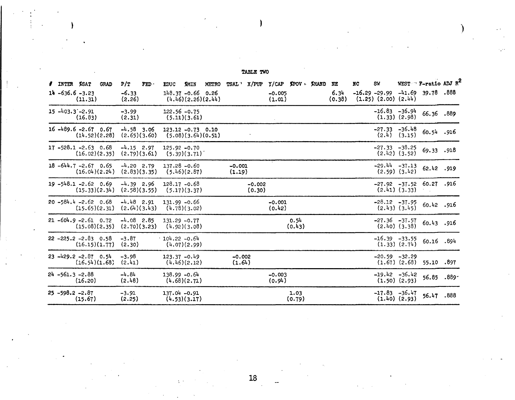## TABLE TWO

)

لترد

| <b>/ INTER %SAT</b> |                                           | <b>GRAD</b> | P/T                          | FED | <b>EDUC</b>     | <b>XMIN</b>                                | <b>METRO</b>       | TSAL X/PUP         |                    | Y/CAP XPOV MAND    |                | NE             | <b>NC</b> | SW                                                           |                   | WEST $\Gamma$ -ratio ADJ R <sup>2</sup> |      |
|---------------------|-------------------------------------------|-------------|------------------------------|-----|-----------------|--------------------------------------------|--------------------|--------------------|--------------------|--------------------|----------------|----------------|-----------|--------------------------------------------------------------|-------------------|-----------------------------------------|------|
|                     | $14 - 636.6 - 3.23$<br>(11.31)            |             | $-6.33$<br>(2.26)            |     |                 | $148.37 - 0.66$ 0.26                       | (4.46)(2.26)(2.44) |                    |                    | $-0.005$<br>(1.01) |                | 6.34<br>(0.38) |           | $-16.29 - 29.99 - 41.69$ 39.78<br>$(1.25)$ $(2.00)$ $(2.44)$ |                   |                                         | .888 |
|                     | $15 - 403.3 - 2.91$<br>(16.83)            |             | $-3.99$<br>(2.31)            |     |                 | $122.56 - 0.75$<br>(5.11)(3.61)            |                    |                    |                    |                    |                |                |           | $-16.83 - 36.94$                                             | $(1.33)$ $(2.98)$ | 66.36.889                               |      |
|                     | $16 - 489.6 - 2.67$ 0.67<br>(14.52)(2.28) |             | $-4.58$ 3.06<br>(2.65)(3.60) |     |                 | $123.12 - 0.73$ 0.10<br>(5.08)(3.64)(0.51) |                    |                    |                    |                    |                |                |           | $-27.33 - 36.48$                                             | $(2.4)$ $(3.15)$  | 60.54.916                               |      |
|                     | $17 - 528.1 - 2.63$ 0.68<br>(16.02)(2.35) |             | $-4.15$ 2.97<br>(2.79)(3.61) |     |                 | $125.92 - 0.70$<br>(5.39)(3.71)            |                    |                    |                    |                    |                |                |           | $-27.33 - 38.25$                                             | $(2.42)$ $(3.52)$ | 69.33 .918                              |      |
|                     | $18 - 644.7 - 2.67$ 0.65<br>(16.04)(2.24) |             | $-4.20$ 2.79<br>(2.83)(3.35) |     |                 | $137.28 - 0.60$<br>(5.46)(2.87)            |                    | $-0.001$<br>(1.19) |                    |                    |                |                |           | $-29.44 - 37.13$                                             | $(2.59)$ $(3.42)$ | 62.42.919                               |      |
|                     | $19 - 548.1 - 2.62$ 0.69<br>(15.33)(2.34) |             | $-4.39$ 2.96<br>(2.58)(3.55) |     |                 | $128.17 - 0.68$<br>(5.17)(3.37)            |                    |                    | $-0.002$<br>(0.30) |                    |                |                |           |                                                              | $(2.41)$ $(3.33)$ | $-27.92$ $-37.52$ 60.27 .916            |      |
|                     | $20 - 584.4 - 2.62 0.68$<br>(15.65)(2.31) |             | $-4.48$ 2.91<br>(2.64)(3.43) |     | $131.99 - 0.66$ | (4.78)(3.02)                               |                    |                    |                    | $-0.001$<br>(0.42) |                |                |           | $-28.12 - 37.95$                                             | $(2.43)$ $(3.45)$ | 60.42.916                               |      |
|                     | $21 - 604.9 - 2.61$ 0.72<br>(15.08)(2.35) |             | $-4.08$ 2.85<br>(2.70)(3.23) |     | $131.29 - 0.77$ | (4.92)(3.08)                               |                    |                    |                    |                    | 0.54<br>(0.43) |                |           | $-27.36 - 37.57$                                             | $(2.40)$ $(3.38)$ | 60.43.916                               |      |
|                     | $22 - 225.2 - 2.83$ 0.58<br>(16.15)(1.77) |             | $-3.87$<br>(2.30)            |     | $104.22 - 0.64$ | (4.07)(2.99)                               |                    |                    |                    |                    |                |                |           | $-16.39 -33.55$                                              | $(1.33)$ $(2.74)$ | 60.16 .894                              |      |
|                     | $23 - 429.2 - 2.87$ 0.54<br>(16.54)(1.68) |             | $-3.98$<br>(2.41)            |     | $123.37 - 0.49$ | (4.46)(2.12)                               |                    | $-0.002$<br>(1.64) |                    |                    |                |                |           | $-20.59 - 32.29$                                             | $(1.67)$ $(2.68)$ | 55.10 .897                              |      |
|                     | $24 - 561.3 - 2.88$<br>(16.20)            |             | $-4.84$<br>(2.48)            |     | $138.99 - 0.64$ | (4.68)(2.71)                               |                    |                    |                    | $-0.003$<br>(0.94) |                |                |           | $-19.42 - 36.42$                                             | $(1.50)$ $(2.93)$ | 56.85 .889-                             |      |
|                     | $25 - 598.2 - 2.87$<br>(15.67)            |             | $-3.91$<br>(2.25)            |     | $137.04 - 0.91$ | (4.53)(3.17)                               |                    |                    |                    |                    | 1.03<br>(0.79) |                |           | $-17.83 - 36.47$                                             | $(1.40)$ $(2.93)$ | 56.47.888                               |      |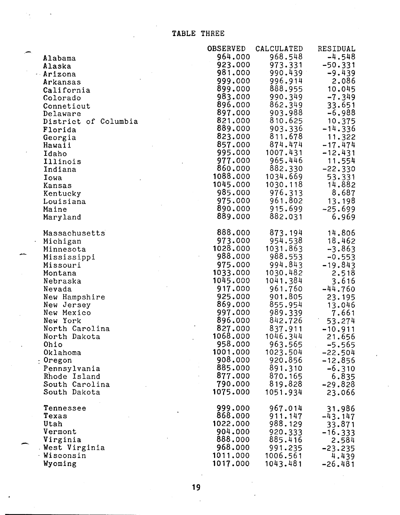TABLE THREE

|                      | <b>OBSERVED</b>     | CALCULATED          | RESIDUAL              |
|----------------------|---------------------|---------------------|-----------------------|
| Alabama              | 964.000             | 968.548             | $-4.548$              |
| Alaska               | 923.000             | 973.331             | $-50.331$             |
| $-Ariz$ ona          | 981.000             | 990.439             | $-9.439$              |
| Arkansas             | 999.000             | 996.914             | 2.086                 |
| California           | 899.000             | 888.955             | 10.045                |
| Colorado             | 983.000             | 990.349             | $-7.349$              |
| Conneticut           | 896.000             | 862.349             | 33.651                |
| Delaware             | 897.000             | 903.988             | $-6.988$              |
| District of Columbia | 821.000             | 810.625             | 10.375                |
| Florida              | 889.000             | 903.336             | $-14.336$             |
| Georgia              | 823.000             | 811.678             | 11.322                |
| Hawaii               | 857.000             | 874.474             | $-17.474$             |
| Idaho                | 995.000             | 1007.431            | $-12.431$             |
| Illinois             | 977.000             | 965.446             | 11.554                |
| Indiana              | 860.000             | 882.330             | $-22.330$             |
| Iowa                 | 1088.000            | 1034.669            | 53.331                |
| Kansas               | 1045.000            | 1030.118            | 14.882                |
| Kentucky             | 985.000             | 976.313             | 8.687                 |
| Louisiana            | 975.000             | 961.802             | 13.198                |
| Maine                | 890.000             | 915.699             | $-25.699$             |
| Maryland             | 889.000             | 882.031             | 6.969                 |
| Massachusetts        | 888.000             | 873.194             | 14.806                |
| Michigan             | 973.000             | 954.538             | 18.462                |
| Minnesota            | 1028.000            | 1031.863            | $-3.863$              |
| Mississippi          | 988.000             | 988.553             | $-0.553$              |
| Missouri             | 975.000             | 994.843             | $-19.843$             |
| Montana              | 1033.000            | 1030.482            | 2.518                 |
| Nebraska             | 1045.000            | 1041.384            | 3.616                 |
| Nevada               | 917.000             | 961.760             | $-44.760$             |
| New Hampshire        | 925.000             | 901.805             | 23.195                |
| New Jersey           | 869.000             | 855.954             | 13.046                |
| New Mexico           | 997.000             | 989.339             | 7.661                 |
| New York             | 896.000             | 842.726             | 53.274                |
| North Carolina       | 827.000<br>1068.000 | 837.911             | $-10.911$             |
| North Dakota         | 958.000             | 1046.344<br>963.565 | 21.656                |
| Ohio<br>Oklahoma     | 1001.000            | 1023.504            | $-5.565$<br>$-22.504$ |
| : Oregon             | 908.000             | 920.856             | $-12.856$             |
| Pennsylvania         | 885.000             | 891.310             | $-6.310$              |
| Rhode Island         | 877.000             | 870.165             | 6.835                 |
| South Carolina       | 790.000             | 819.828             | $-29.828$             |
| South Dakota         | 1075.000            | 1051.934            | 23.066                |
| Tennessee            | 999.000             | 967.014             | 31.986                |
| Texas                | 868.000             | 911.147             | $-43.147$             |
| Utah                 | 1022.000            | 988.129             | 33.871                |
| Vermont              | 904.000             | 920.333             | $-16.333$             |
| Virginia             | 888.000             | 885.416             | 2.584                 |
| West Virginia        | 968.000             | 991.235             | $-23.235$             |
| Wisconsin            | 1011.000            | 1006.561            | 4.439                 |
| Wyoming              | 1017.000            | 1043.481            | $-26.481$             |